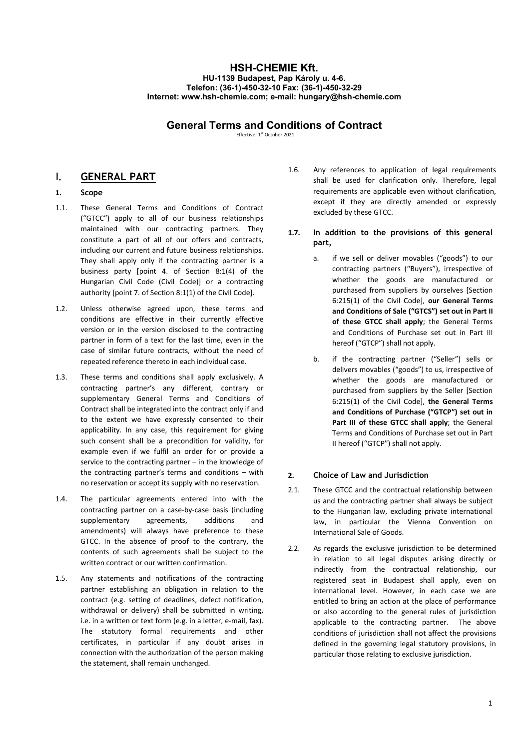# HSH-CHEMIE Kft. HU-1139 Budapest, Pap Károly u. 4-6. Telefon: (36-1)-450-32-10 Fax: (36-1)-450-32-29 Internet: www.hsh-chemie.com; e-mail: hungary@hsh-chemie.com

# General Terms and Conditions of Contract

Effective: 1st October 2021

# I. GENERAL PART

# 1. Scope

- 1.1. These General Terms and Conditions of Contract ("GTCC") apply to all of our business relationships maintained with our contracting partners. They constitute a part of all of our offers and contracts, including our current and future business relationships. They shall apply only if the contracting partner is a business party [point 4. of Section 8:1(4) of the Hungarian Civil Code (Civil Code)] or a contracting authority [point 7. of Section 8:1(1) of the Civil Code].
- 1.2. Unless otherwise agreed upon, these terms and conditions are effective in their currently effective version or in the version disclosed to the contracting partner in form of a text for the last time, even in the case of similar future contracts, without the need of repeated reference thereto in each individual case.
- 1.3. These terms and conditions shall apply exclusively. A contracting partner's any different, contrary or supplementary General Terms and Conditions of Contract shall be integrated into the contract only if and to the extent we have expressly consented to their applicability. In any case, this requirement for giving such consent shall be a precondition for validity, for example even if we fulfil an order for or provide a service to the contracting partner – in the knowledge of the contracting partner's terms and conditions – with no reservation or accept its supply with no reservation.
- 1.4. The particular agreements entered into with the contracting partner on a case-by-case basis (including supplementary agreements, additions and amendments) will always have preference to these GTCC. In the absence of proof to the contrary, the contents of such agreements shall be subject to the written contract or our written confirmation.
- 1.5. Any statements and notifications of the contracting partner establishing an obligation in relation to the contract (e.g. setting of deadlines, defect notification, withdrawal or delivery) shall be submitted in writing, i.e. in a written or text form (e.g. in a letter, e-mail, fax). The statutory formal requirements and other certificates, in particular if any doubt arises in connection with the authorization of the person making the statement, shall remain unchanged.
- 1.6. Any references to application of legal requirements shall be used for clarification only. Therefore, legal requirements are applicable even without clarification, except if they are directly amended or expressly excluded by these GTCC.
- 1.7. In addition to the provisions of this general part,
	- a. if we sell or deliver movables ("goods") to our contracting partners ("Buyers"), irrespective of whether the goods are manufactured or purchased from suppliers by ourselves [Section 6:215(1) of the Civil Code], our General Terms and Conditions of Sale ("GTCS") set out in Part II of these GTCC shall apply; the General Terms and Conditions of Purchase set out in Part III hereof ("GTCP") shall not apply.
	- b. if the contracting partner ("Seller") sells or delivers movables ("goods") to us, irrespective of whether the goods are manufactured or purchased from suppliers by the Seller [Section 6:215(1) of the Civil Code], the General Terms and Conditions of Purchase ("GTCP") set out in Part III of these GTCC shall apply; the General Terms and Conditions of Purchase set out in Part II hereof ("GTCP") shall not apply.

# 2. Choice of Law and Jurisdiction

- 2.1. These GTCC and the contractual relationship between us and the contracting partner shall always be subject to the Hungarian law, excluding private international law, in particular the Vienna Convention on International Sale of Goods.
- 2.2. As regards the exclusive jurisdiction to be determined in relation to all legal disputes arising directly or indirectly from the contractual relationship, our registered seat in Budapest shall apply, even on international level. However, in each case we are entitled to bring an action at the place of performance or also according to the general rules of jurisdiction applicable to the contracting partner. The above conditions of jurisdiction shall not affect the provisions defined in the governing legal statutory provisions, in particular those relating to exclusive jurisdiction.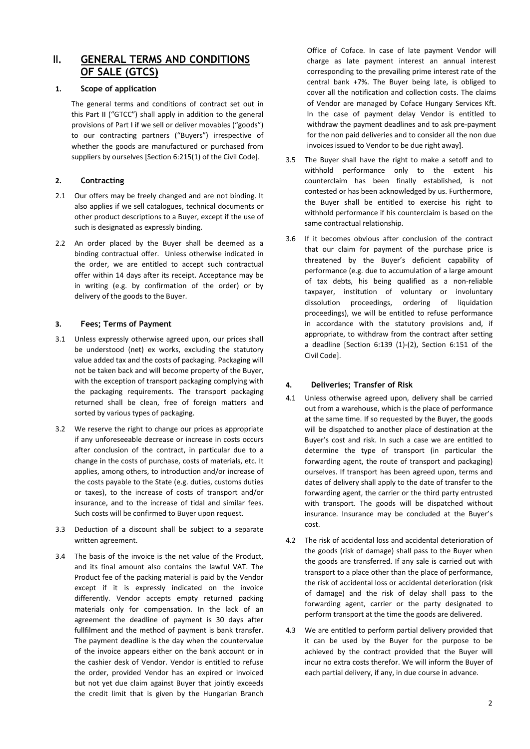# II. GENERAL TERMS AND CONDITIONS OF SALE (GTCS)

# 1. Scope of application

The general terms and conditions of contract set out in this Part II ("GTCC") shall apply in addition to the general provisions of Part I if we sell or deliver movables ("goods") to our contracting partners ("Buyers") irrespective of whether the goods are manufactured or purchased from suppliers by ourselves [Section 6:215(1) of the Civil Code].

# 2. Contracting

- 2.1 Our offers may be freely changed and are not binding. It also applies if we sell catalogues, technical documents or other product descriptions to a Buyer, except if the use of such is designated as expressly binding.
- 2.2 An order placed by the Buyer shall be deemed as a binding contractual offer. Unless otherwise indicated in the order, we are entitled to accept such contractual offer within 14 days after its receipt. Acceptance may be in writing (e.g. by confirmation of the order) or by delivery of the goods to the Buyer.

## 3. Fees; Terms of Payment

- 3.1 Unless expressly otherwise agreed upon, our prices shall be understood (net) ex works, excluding the statutory value added tax and the costs of packaging. Packaging will not be taken back and will become property of the Buyer, with the exception of transport packaging complying with the packaging requirements. The transport packaging returned shall be clean, free of foreign matters and sorted by various types of packaging.
- 3.2 We reserve the right to change our prices as appropriate if any unforeseeable decrease or increase in costs occurs after conclusion of the contract, in particular due to a change in the costs of purchase, costs of materials, etc. It applies, among others, to introduction and/or increase of the costs payable to the State (e.g. duties, customs duties or taxes), to the increase of costs of transport and/or insurance, and to the increase of tidal and similar fees. Such costs will be confirmed to Buyer upon request.
- 3.3 Deduction of a discount shall be subject to a separate written agreement.
- 3.4 The basis of the invoice is the net value of the Product, and its final amount also contains the lawful VAT. The Product fee of the packing material is paid by the Vendor except if it is expressly indicated on the invoice differently. Vendor accepts empty returned packing materials only for compensation. In the lack of an agreement the deadline of payment is 30 days after fullfilment and the method of payment is bank transfer. The payment deadline is the day when the countervalue of the invoice appears either on the bank account or in the cashier desk of Vendor. Vendor is entitled to refuse the order, provided Vendor has an expired or invoiced but not yet due claim against Buyer that jointly exceeds the credit limit that is given by the Hungarian Branch

Office of Coface. In case of late payment Vendor will charge as late payment interest an annual interest corresponding to the prevailing prime interest rate of the central bank +7%. The Buyer being late, is obliged to cover all the notification and collection costs. The claims of Vendor are managed by Coface Hungary Services Kft. In the case of payment delay Vendor is entitled to withdraw the payment deadlines and to ask pre-payment for the non paid deliveries and to consider all the non due invoices issued to Vendor to be due right away].

- 3.5 The Buyer shall have the right to make a setoff and to withhold performance only to the extent his counterclaim has been finally established, is not contested or has been acknowledged by us. Furthermore, the Buyer shall be entitled to exercise his right to withhold performance if his counterclaim is based on the same contractual relationship.
- 3.6 If it becomes obvious after conclusion of the contract that our claim for payment of the purchase price is threatened by the Buyer's deficient capability of performance (e.g. due to accumulation of a large amount of tax debts, his being qualified as a non-reliable taxpayer, institution of voluntary or involuntary dissolution proceedings, ordering of liquidation proceedings), we will be entitled to refuse performance in accordance with the statutory provisions and, if appropriate, to withdraw from the contract after setting a deadline [Section 6:139 (1)-(2), Section 6:151 of the Civil Code].

## 4. Deliveries; Transfer of Risk

- 4.1 Unless otherwise agreed upon, delivery shall be carried out from a warehouse, which is the place of performance at the same time. If so requested by the Buyer, the goods will be dispatched to another place of destination at the Buyer's cost and risk. In such a case we are entitled to determine the type of transport (in particular the forwarding agent, the route of transport and packaging) ourselves. If transport has been agreed upon, terms and dates of delivery shall apply to the date of transfer to the forwarding agent, the carrier or the third party entrusted with transport. The goods will be dispatched without insurance. Insurance may be concluded at the Buyer's cost.
- 4.2 The risk of accidental loss and accidental deterioration of the goods (risk of damage) shall pass to the Buyer when the goods are transferred. If any sale is carried out with transport to a place other than the place of performance, the risk of accidental loss or accidental deterioration (risk of damage) and the risk of delay shall pass to the forwarding agent, carrier or the party designated to perform transport at the time the goods are delivered.
- 4.3 We are entitled to perform partial delivery provided that it can be used by the Buyer for the purpose to be achieved by the contract provided that the Buyer will incur no extra costs therefor. We will inform the Buyer of each partial delivery, if any, in due course in advance.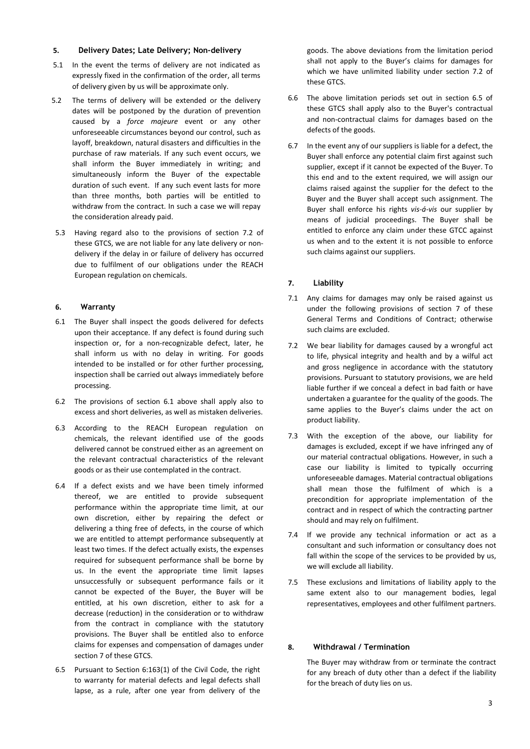#### 5. Delivery Dates; Late Delivery; Non-delivery

- 5.1 In the event the terms of delivery are not indicated as expressly fixed in the confirmation of the order, all terms of delivery given by us will be approximate only.
- 5.2 The terms of delivery will be extended or the delivery dates will be postponed by the duration of prevention caused by a *force majeure* event or any other unforeseeable circumstances beyond our control, such as layoff, breakdown, natural disasters and difficulties in the purchase of raw materials. If any such event occurs, we shall inform the Buyer immediately in writing; and simultaneously inform the Buyer of the expectable duration of such event. If any such event lasts for more than three months, both parties will be entitled to withdraw from the contract. In such a case we will repay the consideration already paid.
- 5.3 Having regard also to the provisions of section 7.2 of these GTCS, we are not liable for any late delivery or nondelivery if the delay in or failure of delivery has occurred due to fulfilment of our obligations under the REACH European regulation on chemicals.

### 6. Warranty

- 6.1 The Buyer shall inspect the goods delivered for defects upon their acceptance. If any defect is found during such inspection or, for a non-recognizable defect, later, he shall inform us with no delay in writing. For goods intended to be installed or for other further processing, inspection shall be carried out always immediately before processing.
- 6.2 The provisions of section 6.1 above shall apply also to excess and short deliveries, as well as mistaken deliveries.
- 6.3 According to the REACH European regulation on chemicals, the relevant identified use of the goods delivered cannot be construed either as an agreement on the relevant contractual characteristics of the relevant goods or as their use contemplated in the contract.
- 6.4 If a defect exists and we have been timely informed thereof, we are entitled to provide subsequent performance within the appropriate time limit, at our own discretion, either by repairing the defect or delivering a thing free of defects, in the course of which we are entitled to attempt performance subsequently at least two times. If the defect actually exists, the expenses required for subsequent performance shall be borne by us. In the event the appropriate time limit lapses unsuccessfully or subsequent performance fails or it cannot be expected of the Buyer, the Buyer will be entitled, at his own discretion, either to ask for a decrease (reduction) in the consideration or to withdraw from the contract in compliance with the statutory provisions. The Buyer shall be entitled also to enforce claims for expenses and compensation of damages under section 7 of these GTCS.
- 6.5 Pursuant to Section 6:163(1) of the Civil Code, the right to warranty for material defects and legal defects shall lapse, as a rule, after one year from delivery of the

goods. The above deviations from the limitation period shall not apply to the Buyer's claims for damages for which we have unlimited liability under section 7.2 of these GTCS.

- 6.6 The above limitation periods set out in section 6.5 of these GTCS shall apply also to the Buyer's contractual and non-contractual claims for damages based on the defects of the goods.
- 6.7 In the event any of our suppliers is liable for a defect, the Buyer shall enforce any potential claim first against such supplier, except if it cannot be expected of the Buyer. To this end and to the extent required, we will assign our claims raised against the supplier for the defect to the Buyer and the Buyer shall accept such assignment. The Buyer shall enforce his rights vis-á-vis our supplier by means of judicial proceedings. The Buyer shall be entitled to enforce any claim under these GTCC against us when and to the extent it is not possible to enforce such claims against our suppliers.

# 7. Liability

- 7.1 Any claims for damages may only be raised against us under the following provisions of section 7 of these General Terms and Conditions of Contract; otherwise such claims are excluded.
- 7.2 We bear liability for damages caused by a wrongful act to life, physical integrity and health and by a wilful act and gross negligence in accordance with the statutory provisions. Pursuant to statutory provisions, we are held liable further if we conceal a defect in bad faith or have undertaken a guarantee for the quality of the goods. The same applies to the Buyer's claims under the act on product liability.
- 7.3 With the exception of the above, our liability for damages is excluded, except if we have infringed any of our material contractual obligations. However, in such a case our liability is limited to typically occurring unforeseeable damages. Material contractual obligations shall mean those the fulfilment of which is a precondition for appropriate implementation of the contract and in respect of which the contracting partner should and may rely on fulfilment.
- 7.4 If we provide any technical information or act as a consultant and such information or consultancy does not fall within the scope of the services to be provided by us, we will exclude all liability.
- 7.5 These exclusions and limitations of liability apply to the same extent also to our management bodies, legal representatives, employees and other fulfilment partners.

### 8. Withdrawal / Termination

The Buyer may withdraw from or terminate the contract for any breach of duty other than a defect if the liability for the breach of duty lies on us.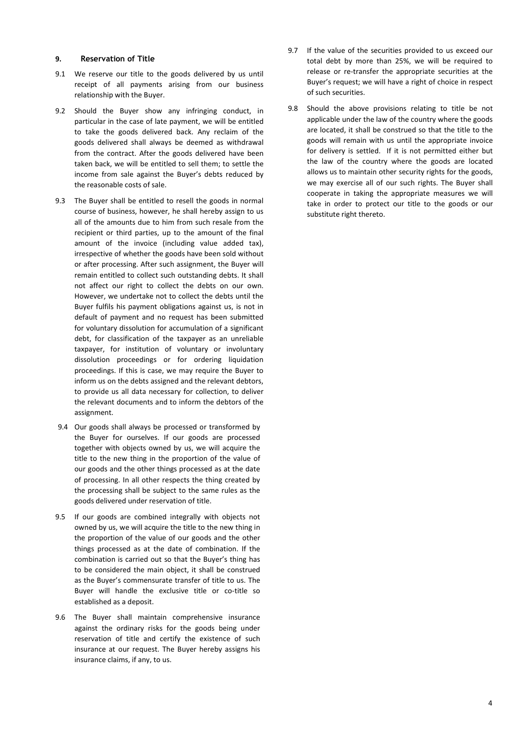#### 9. Reservation of Title

- 9.1 We reserve our title to the goods delivered by us until receipt of all payments arising from our business relationship with the Buyer.
- 9.2 Should the Buyer show any infringing conduct, in particular in the case of late payment, we will be entitled to take the goods delivered back. Any reclaim of the goods delivered shall always be deemed as withdrawal from the contract. After the goods delivered have been taken back, we will be entitled to sell them; to settle the income from sale against the Buyer's debts reduced by the reasonable costs of sale.
- 9.3 The Buyer shall be entitled to resell the goods in normal course of business, however, he shall hereby assign to us all of the amounts due to him from such resale from the recipient or third parties, up to the amount of the final amount of the invoice (including value added tax), irrespective of whether the goods have been sold without or after processing. After such assignment, the Buyer will remain entitled to collect such outstanding debts. It shall not affect our right to collect the debts on our own. However, we undertake not to collect the debts until the Buyer fulfils his payment obligations against us, is not in default of payment and no request has been submitted for voluntary dissolution for accumulation of a significant debt, for classification of the taxpayer as an unreliable taxpayer, for institution of voluntary or involuntary dissolution proceedings or for ordering liquidation proceedings. If this is case, we may require the Buyer to inform us on the debts assigned and the relevant debtors, to provide us all data necessary for collection, to deliver the relevant documents and to inform the debtors of the assignment.
- 9.4 Our goods shall always be processed or transformed by the Buyer for ourselves. If our goods are processed together with objects owned by us, we will acquire the title to the new thing in the proportion of the value of our goods and the other things processed as at the date of processing. In all other respects the thing created by the processing shall be subject to the same rules as the goods delivered under reservation of title.
- 9.5 If our goods are combined integrally with objects not owned by us, we will acquire the title to the new thing in the proportion of the value of our goods and the other things processed as at the date of combination. If the combination is carried out so that the Buyer's thing has to be considered the main object, it shall be construed as the Buyer's commensurate transfer of title to us. The Buyer will handle the exclusive title or co-title so established as a deposit.
- 9.6 The Buyer shall maintain comprehensive insurance against the ordinary risks for the goods being under reservation of title and certify the existence of such insurance at our request. The Buyer hereby assigns his insurance claims, if any, to us.
- 9.7 If the value of the securities provided to us exceed our total debt by more than 25%, we will be required to release or re-transfer the appropriate securities at the Buyer's request; we will have a right of choice in respect of such securities.
- 9.8 Should the above provisions relating to title be not applicable under the law of the country where the goods are located, it shall be construed so that the title to the goods will remain with us until the appropriate invoice for delivery is settled. If it is not permitted either but the law of the country where the goods are located allows us to maintain other security rights for the goods, we may exercise all of our such rights. The Buyer shall cooperate in taking the appropriate measures we will take in order to protect our title to the goods or our substitute right thereto.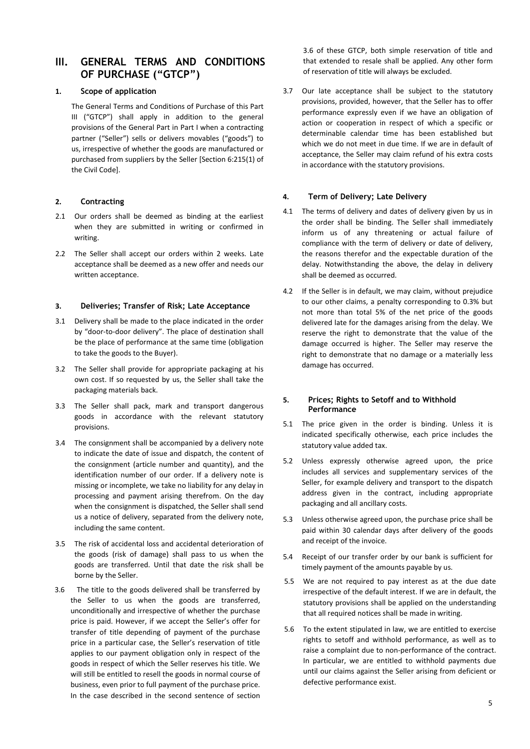# III. GENERAL TERMS AND CONDITIONS OF PURCHASE ("GTCP")

### 1. Scope of application

The General Terms and Conditions of Purchase of this Part III ("GTCP") shall apply in addition to the general provisions of the General Part in Part I when a contracting partner ("Seller") sells or delivers movables ("goods") to us, irrespective of whether the goods are manufactured or purchased from suppliers by the Seller [Section 6:215(1) of the Civil Code].

### 2. Contracting

- 2.1 Our orders shall be deemed as binding at the earliest when they are submitted in writing or confirmed in writing.
- 2.2 The Seller shall accept our orders within 2 weeks. Late acceptance shall be deemed as a new offer and needs our written acceptance.

### 3. Deliveries; Transfer of Risk; Late Acceptance

- 3.1 Delivery shall be made to the place indicated in the order by "door-to-door delivery". The place of destination shall be the place of performance at the same time (obligation to take the goods to the Buyer).
- 3.2 The Seller shall provide for appropriate packaging at his own cost. If so requested by us, the Seller shall take the packaging materials back.
- 3.3 The Seller shall pack, mark and transport dangerous goods in accordance with the relevant statutory provisions.
- 3.4 The consignment shall be accompanied by a delivery note to indicate the date of issue and dispatch, the content of the consignment (article number and quantity), and the identification number of our order. If a delivery note is missing or incomplete, we take no liability for any delay in processing and payment arising therefrom. On the day when the consignment is dispatched, the Seller shall send us a notice of delivery, separated from the delivery note, including the same content.
- 3.5 The risk of accidental loss and accidental deterioration of the goods (risk of damage) shall pass to us when the goods are transferred. Until that date the risk shall be borne by the Seller.
- 3.6 The title to the goods delivered shall be transferred by the Seller to us when the goods are transferred, unconditionally and irrespective of whether the purchase price is paid. However, if we accept the Seller's offer for transfer of title depending of payment of the purchase price in a particular case, the Seller's reservation of title applies to our payment obligation only in respect of the goods in respect of which the Seller reserves his title. We will still be entitled to resell the goods in normal course of business, even prior to full payment of the purchase price. In the case described in the second sentence of section

3.6 of these GTCP, both simple reservation of title and that extended to resale shall be applied. Any other form of reservation of title will always be excluded.

3.7 Our late acceptance shall be subject to the statutory provisions, provided, however, that the Seller has to offer performance expressly even if we have an obligation of action or cooperation in respect of which a specific or determinable calendar time has been established but which we do not meet in due time. If we are in default of acceptance, the Seller may claim refund of his extra costs in accordance with the statutory provisions.

### 4. Term of Delivery; Late Delivery

- 4.1 The terms of delivery and dates of delivery given by us in the order shall be binding. The Seller shall immediately inform us of any threatening or actual failure of compliance with the term of delivery or date of delivery, the reasons therefor and the expectable duration of the delay. Notwithstanding the above, the delay in delivery shall be deemed as occurred.
- 4.2 If the Seller is in default, we may claim, without prejudice to our other claims, a penalty corresponding to 0.3% but not more than total 5% of the net price of the goods delivered late for the damages arising from the delay. We reserve the right to demonstrate that the value of the damage occurred is higher. The Seller may reserve the right to demonstrate that no damage or a materially less damage has occurred.

### 5. Prices; Rights to Setoff and to Withhold Performance

- 5.1 The price given in the order is binding. Unless it is indicated specifically otherwise, each price includes the statutory value added tax.
- 5.2 Unless expressly otherwise agreed upon, the price includes all services and supplementary services of the Seller, for example delivery and transport to the dispatch address given in the contract, including appropriate packaging and all ancillary costs.
- 5.3 Unless otherwise agreed upon, the purchase price shall be paid within 30 calendar days after delivery of the goods and receipt of the invoice.
- 5.4 Receipt of our transfer order by our bank is sufficient for timely payment of the amounts payable by us.
- 5.5 We are not required to pay interest as at the due date irrespective of the default interest. If we are in default, the statutory provisions shall be applied on the understanding that all required notices shall be made in writing.
- 5.6 To the extent stipulated in law, we are entitled to exercise rights to setoff and withhold performance, as well as to raise a complaint due to non-performance of the contract. In particular, we are entitled to withhold payments due until our claims against the Seller arising from deficient or defective performance exist.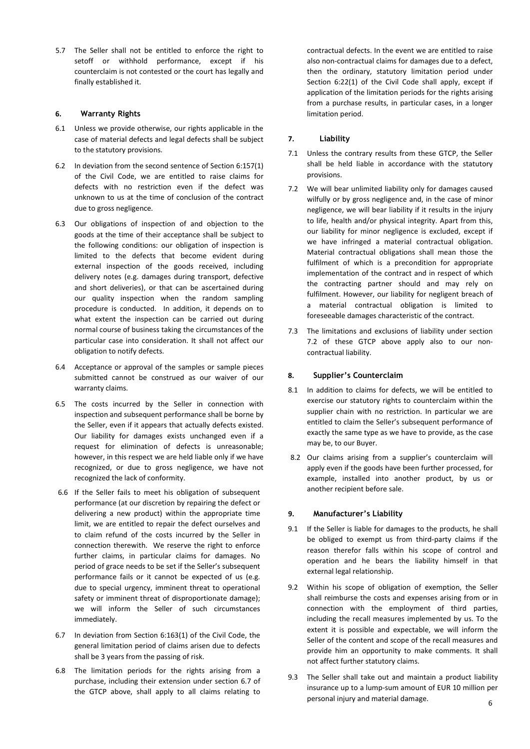5.7 The Seller shall not be entitled to enforce the right to setoff or withhold performance, except if his counterclaim is not contested or the court has legally and finally established it.

### 6. Warranty Rights

- 6.1 Unless we provide otherwise, our rights applicable in the case of material defects and legal defects shall be subject to the statutory provisions.
- 6.2 In deviation from the second sentence of Section 6:157(1) of the Civil Code, we are entitled to raise claims for defects with no restriction even if the defect was unknown to us at the time of conclusion of the contract due to gross negligence.
- 6.3 Our obligations of inspection of and objection to the goods at the time of their acceptance shall be subject to the following conditions: our obligation of inspection is limited to the defects that become evident during external inspection of the goods received, including delivery notes (e.g. damages during transport, defective and short deliveries), or that can be ascertained during our quality inspection when the random sampling procedure is conducted. In addition, it depends on to what extent the inspection can be carried out during normal course of business taking the circumstances of the particular case into consideration. It shall not affect our obligation to notify defects.
- 6.4 Acceptance or approval of the samples or sample pieces submitted cannot be construed as our waiver of our warranty claims.
- 6.5 The costs incurred by the Seller in connection with inspection and subsequent performance shall be borne by the Seller, even if it appears that actually defects existed. Our liability for damages exists unchanged even if a request for elimination of defects is unreasonable; however, in this respect we are held liable only if we have recognized, or due to gross negligence, we have not recognized the lack of conformity.
- 6.6 If the Seller fails to meet his obligation of subsequent performance (at our discretion by repairing the defect or delivering a new product) within the appropriate time limit, we are entitled to repair the defect ourselves and to claim refund of the costs incurred by the Seller in connection therewith. We reserve the right to enforce further claims, in particular claims for damages. No period of grace needs to be set if the Seller's subsequent performance fails or it cannot be expected of us (e.g. due to special urgency, imminent threat to operational safety or imminent threat of disproportionate damage); we will inform the Seller of such circumstances immediately.
- 6.7 In deviation from Section 6:163(1) of the Civil Code, the general limitation period of claims arisen due to defects shall be 3 years from the passing of risk.
- 6.8 The limitation periods for the rights arising from a purchase, including their extension under section 6.7 of the GTCP above, shall apply to all claims relating to

contractual defects. In the event we are entitled to raise also non-contractual claims for damages due to a defect, then the ordinary, statutory limitation period under Section 6:22(1) of the Civil Code shall apply, except if application of the limitation periods for the rights arising from a purchase results, in particular cases, in a longer limitation period.

# 7. Liability

- 7.1 Unless the contrary results from these GTCP, the Seller shall be held liable in accordance with the statutory provisions.
- 7.2 We will bear unlimited liability only for damages caused wilfully or by gross negligence and, in the case of minor negligence, we will bear liability if it results in the injury to life, health and/or physical integrity. Apart from this, our liability for minor negligence is excluded, except if we have infringed a material contractual obligation. Material contractual obligations shall mean those the fulfilment of which is a precondition for appropriate implementation of the contract and in respect of which the contracting partner should and may rely on fulfilment. However, our liability for negligent breach of a material contractual obligation is limited to foreseeable damages characteristic of the contract.
- 7.3 The limitations and exclusions of liability under section 7.2 of these GTCP above apply also to our noncontractual liability.

## 8. Supplier's Counterclaim

- 8.1 In addition to claims for defects, we will be entitled to exercise our statutory rights to counterclaim within the supplier chain with no restriction. In particular we are entitled to claim the Seller's subsequent performance of exactly the same type as we have to provide, as the case may be, to our Buyer.
- 8.2 Our claims arising from a supplier's counterclaim will apply even if the goods have been further processed, for example, installed into another product, by us or another recipient before sale.

## 9. Manufacturer's Liability

- 9.1 If the Seller is liable for damages to the products, he shall be obliged to exempt us from third-party claims if the reason therefor falls within his scope of control and operation and he bears the liability himself in that external legal relationship.
- 9.2 Within his scope of obligation of exemption, the Seller shall reimburse the costs and expenses arising from or in connection with the employment of third parties, including the recall measures implemented by us. To the extent it is possible and expectable, we will inform the Seller of the content and scope of the recall measures and provide him an opportunity to make comments. It shall not affect further statutory claims.
- 6 9.3 The Seller shall take out and maintain a product liability insurance up to a lump-sum amount of EUR 10 million per personal injury and material damage.